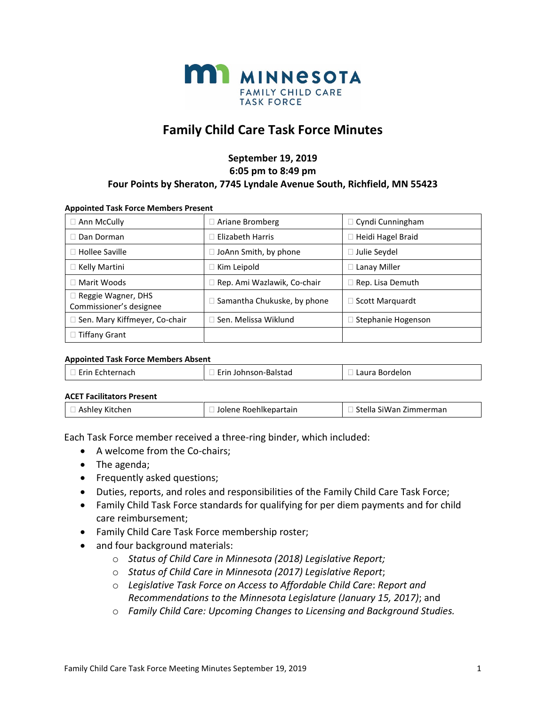

# **Family Child Care Task Force Minutes**

### **September 19, 2019 6:05 pm to 8:49 pm Four Points by Sheraton, 7745 Lyndale Avenue South, Richfield, MN 55423**

#### **Appointed Task Force Members Present**

| $\Box$ Ann McCully                                   | $\Box$ Ariane Bromberg             | $\Box$ Cyndi Cunningham   |
|------------------------------------------------------|------------------------------------|---------------------------|
| Dan Dorman                                           | $\Box$ Elizabeth Harris            | $\Box$ Heidi Hagel Braid  |
| $\Box$ Hollee Saville                                | $\Box$ JoAnn Smith, by phone       | $\Box$ Julie Seydel       |
| $\Box$ Kelly Martini                                 | $\Box$ Kim Leipold                 | $\Box$ Lanay Miller       |
| □ Marit Woods                                        | □ Rep. Ami Wazlawik, Co-chair      | $\Box$ Rep. Lisa Demuth   |
| $\Box$ Reggie Wagner, DHS<br>Commissioner's designee | $\Box$ Samantha Chukuske, by phone | □ Scott Marquardt         |
| □ Sen. Mary Kiffmeyer, Co-chair                      | $\Box$ Sen. Melissa Wiklund        | $\Box$ Stephanie Hogenson |
| $\Box$ Tiffany Grant                                 |                                    |                           |

#### **Appointed Task Force Members Absent**

| . Frin<br>$-1$<br>Ld L<br>.<br>.<br>. |  |  |  |  |
|---------------------------------------|--|--|--|--|
|---------------------------------------|--|--|--|--|

#### **ACET Facilitators Present**

| □ Ashley Kitchen | I Jolene Roehlkepartain | □ Stella SiWan Zimmerman |
|------------------|-------------------------|--------------------------|
|------------------|-------------------------|--------------------------|

Each Task Force member received a three-ring binder, which included:

- A welcome from the Co-chairs;
- The agenda;
- Frequently asked questions;
- Duties, reports, and roles and responsibilities of the Family Child Care Task Force;
- Family Child Task Force standards for qualifying for per diem payments and for child care reimbursement;
- Family Child Care Task Force membership roster;
- and four background materials:
	- o *Status of Child Care in Minnesota (2018) Legislative Report;*
	- o *Status of Child Care in Minnesota (2017) Legislative Report*;
	- o *Legislative Task Force on Access to Affordable Child Care*: *Report and Recommendations to the Minnesota Legislature (January 15, 2017)*; and
	- o *Family Child Care: Upcoming Changes to Licensing and Background Studies.*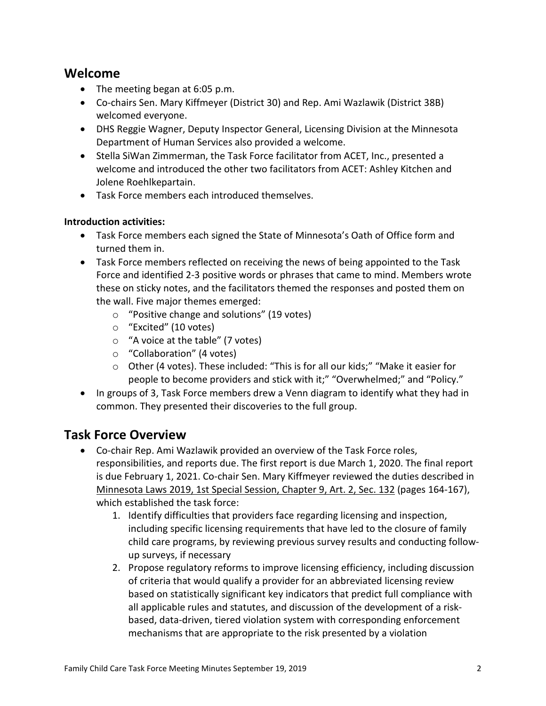## **Welcome**

- The meeting began at 6:05 p.m.
- Co-chairs Sen. Mary Kiffmeyer (District 30) and Rep. Ami Wazlawik (District 38B) welcomed everyone.
- DHS Reggie Wagner, Deputy Inspector General, Licensing Division at the Minnesota Department of Human Services also provided a welcome.
- Stella SiWan Zimmerman, the Task Force facilitator from ACET, Inc., presented a welcome and introduced the other two facilitators from ACET: Ashley Kitchen and Jolene Roehlkepartain.
- Task Force members each introduced themselves.

## **Introduction activities:**

- Task Force members each signed the State of Minnesota's Oath of Office form and turned them in.
- Task Force members reflected on receiving the news of being appointed to the Task Force and identified 2-3 positive words or phrases that came to mind. Members wrote these on sticky notes, and the facilitators themed the responses and posted them on the wall. Five major themes emerged:
	- o "Positive change and solutions" (19 votes)
	- o "Excited" (10 votes)
	- o "A voice at the table" (7 votes)
	- o "Collaboration" (4 votes)
	- o Other (4 votes). These included: "This is for all our kids;" "Make it easier for people to become providers and stick with it;" "Overwhelmed;" and "Policy."
- In groups of 3, Task Force members drew a Venn diagram to identify what they had in common. They presented their discoveries to the full group.

# **Task Force Overview**

- Co-chair Rep. Ami Wazlawik provided an overview of the Task Force roles, responsibilities, and reports due. The first report is due March 1, 2020. The final report is due February 1, 2021. Co-chair Sen. Mary Kiffmeyer reviewed the duties described in [Minnesota Laws 2019, 1st Special Session, Chapter 9, Art. 2, Sec. 132](https://www.revisor.mn.gov/laws/2019/1/Session+Law/Chapter/9/) (pages 164-167), which established the task force:
	- 1. Identify difficulties that providers face regarding licensing and inspection, including specific licensing requirements that have led to the closure of family child care programs, by reviewing previous survey results and conducting followup surveys, if necessary
	- 2. Propose regulatory reforms to improve licensing efficiency, including discussion of criteria that would qualify a provider for an abbreviated licensing review based on statistically significant key indicators that predict full compliance with all applicable rules and statutes, and discussion of the development of a riskbased, data-driven, tiered violation system with corresponding enforcement mechanisms that are appropriate to the risk presented by a violation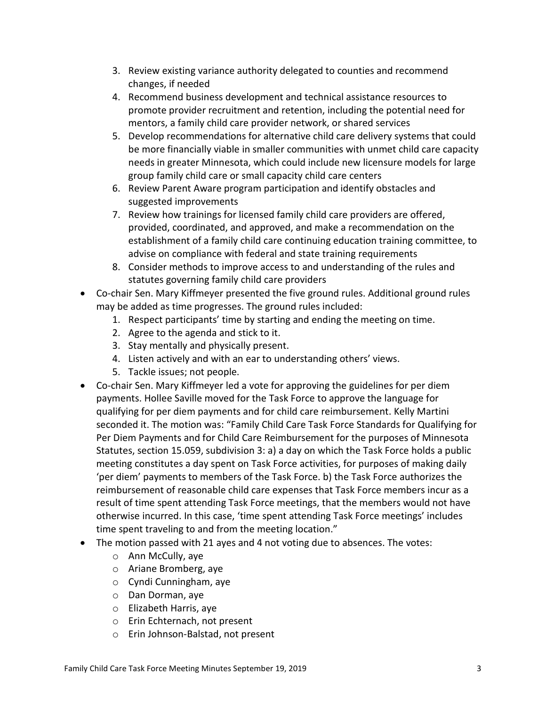- 3. Review existing variance authority delegated to counties and recommend changes, if needed
- 4. Recommend business development and technical assistance resources to promote provider recruitment and retention, including the potential need for mentors, a family child care provider network, or shared services
- 5. Develop recommendations for alternative child care delivery systems that could be more financially viable in smaller communities with unmet child care capacity needs in greater Minnesota, which could include new licensure models for large group family child care or small capacity child care centers
- 6. Review Parent Aware program participation and identify obstacles and suggested improvements
- 7. Review how trainings for licensed family child care providers are offered, provided, coordinated, and approved, and make a recommendation on the establishment of a family child care continuing education training committee, to advise on compliance with federal and state training requirements
- 8. Consider methods to improve access to and understanding of the rules and statutes governing family child care providers
- Co-chair Sen. Mary Kiffmeyer presented the five ground rules. Additional ground rules may be added as time progresses. The ground rules included:
	- 1. Respect participants' time by starting and ending the meeting on time.
	- 2. Agree to the agenda and stick to it.
	- 3. Stay mentally and physically present.
	- 4. Listen actively and with an ear to understanding others' views.
	- 5. Tackle issues; not people.
- Co-chair Sen. Mary Kiffmeyer led a vote for approving the guidelines for per diem payments. Hollee Saville moved for the Task Force to approve the language for qualifying for per diem payments and for child care reimbursement. Kelly Martini seconded it. The motion was: "Family Child Care Task Force Standards for Qualifying for Per Diem Payments and for Child Care Reimbursement for the purposes of Minnesota Statutes, section 15.059, subdivision 3: a) a day on which the Task Force holds a public meeting constitutes a day spent on Task Force activities, for purposes of making daily 'per diem' payments to members of the Task Force. b) the Task Force authorizes the reimbursement of reasonable child care expenses that Task Force members incur as a result of time spent attending Task Force meetings, that the members would not have otherwise incurred. In this case, 'time spent attending Task Force meetings' includes time spent traveling to and from the meeting location."
- The motion passed with 21 ayes and 4 not voting due to absences. The votes:
	- o Ann McCully, aye
	- o Ariane Bromberg, aye
	- o Cyndi Cunningham, aye
	- o Dan Dorman, aye
	- o Elizabeth Harris, aye
	- o Erin Echternach, not present
	- o Erin Johnson-Balstad, not present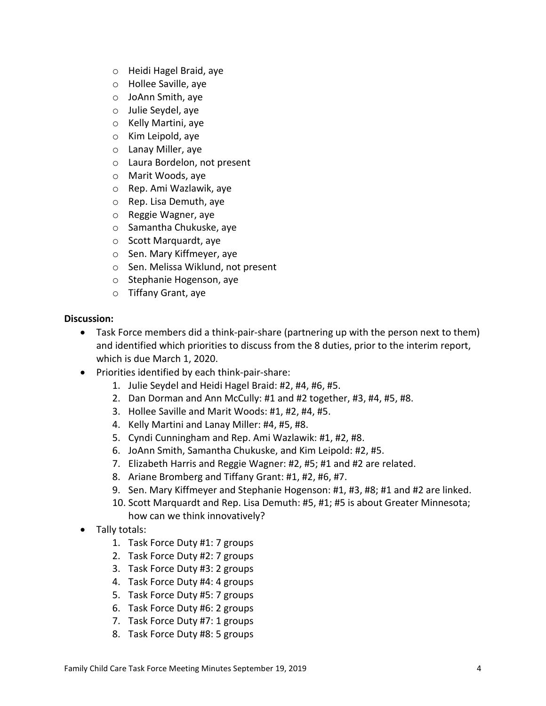- o Heidi Hagel Braid, aye
- o Hollee Saville, aye
- o JoAnn Smith, aye
- o Julie Seydel, aye
- o Kelly Martini, aye
- o Kim Leipold, aye
- o Lanay Miller, aye
- o Laura Bordelon, not present
- o Marit Woods, aye
- o Rep. Ami Wazlawik, aye
- o Rep. Lisa Demuth, aye
- o Reggie Wagner, aye
- o Samantha Chukuske, aye
- o Scott Marquardt, aye
- o Sen. Mary Kiffmeyer, aye
- o Sen. Melissa Wiklund, not present
- o Stephanie Hogenson, aye
- o Tiffany Grant, aye

### **Discussion:**

- Task Force members did a think-pair-share (partnering up with the person next to them) and identified which priorities to discuss from the 8 duties, prior to the interim report, which is due March 1, 2020.
- Priorities identified by each think-pair-share:
	- 1. Julie Seydel and Heidi Hagel Braid: #2, #4, #6, #5.
	- 2. Dan Dorman and Ann McCully: #1 and #2 together, #3, #4, #5, #8.
	- 3. Hollee Saville and Marit Woods: #1, #2, #4, #5.
	- 4. Kelly Martini and Lanay Miller: #4, #5, #8.
	- 5. Cyndi Cunningham and Rep. Ami Wazlawik: #1, #2, #8.
	- 6. JoAnn Smith, Samantha Chukuske, and Kim Leipold: #2, #5.
	- 7. Elizabeth Harris and Reggie Wagner: #2, #5; #1 and #2 are related.
	- 8. Ariane Bromberg and Tiffany Grant: #1, #2, #6, #7.
	- 9. Sen. Mary Kiffmeyer and Stephanie Hogenson: #1, #3, #8; #1 and #2 are linked.
	- 10. Scott Marquardt and Rep. Lisa Demuth: #5, #1; #5 is about Greater Minnesota; how can we think innovatively?
- Tally totals:
	- 1. Task Force Duty #1: 7 groups
	- 2. Task Force Duty #2: 7 groups
	- 3. Task Force Duty #3: 2 groups
	- 4. Task Force Duty #4: 4 groups
	- 5. Task Force Duty #5: 7 groups
	- 6. Task Force Duty #6: 2 groups
	- 7. Task Force Duty #7: 1 groups
	- 8. Task Force Duty #8: 5 groups